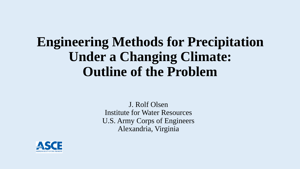# **Engineering Methods for Precipitation Under a Changing Climate: Outline of the Problem**

J. Rolf Olsen Institute for Water Resources U.S. Army Corps of Engineers Alexandria, Virginia

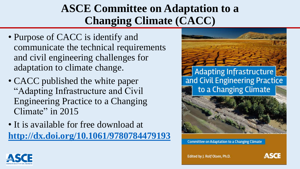### **ASCE Committee on Adaptation to a Changing Climate (CACC)**

- Purpose of CACC is identify and communicate the technical requirements and civil engineering challenges for adaptation to climate change.
- CACC published the white paper "Adapting Infrastructure and Civil Engineering Practice to a Changing Climate" in 2015
- It is available for free download at **<http://dx.doi.org/10.1061/9780784479193>**



**Committee on Adaptation to a Changing Climate** 



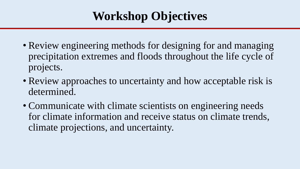## **Workshop Objectives**

- Review engineering methods for designing for and managing precipitation extremes and floods throughout the life cycle of projects.
- Review approaches to uncertainty and how acceptable risk is determined.
- Communicate with climate scientists on engineering needs for climate information and receive status on climate trends, climate projections, and uncertainty.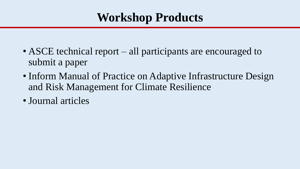## **Workshop Products**

- ASCE technical report all participants are encouraged to submit a paper
- Inform Manual of Practice on Adaptive Infrastructure Design and Risk Management for Climate Resilience
- Journal articles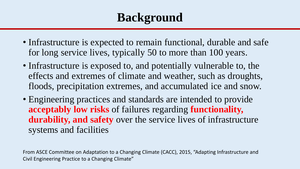## **Background**

- Infrastructure is expected to remain functional, durable and safe for long service lives, typically 50 to more than 100 years.
- Infrastructure is exposed to, and potentially vulnerable to, the effects and extremes of climate and weather, such as droughts, floods, precipitation extremes, and accumulated ice and snow.
- Engineering practices and standards are intended to provide **acceptably low risks** of failures regarding **functionality, durability, and safety** over the service lives of infrastructure systems and facilities

From ASCE Committee on Adaptation to a Changing Climate (CACC), 2015, "Adapting Infrastructure and Civil Engineering Practice to a Changing Climate"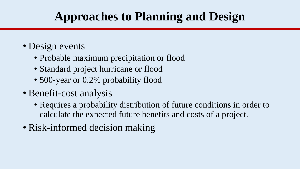# **Approaches to Planning and Design**

- Design events
	- Probable maximum precipitation or flood
	- Standard project hurricane or flood
	- 500-year or 0.2% probability flood
- Benefit-cost analysis
	- Requires a probability distribution of future conditions in order to calculate the expected future benefits and costs of a project.
- Risk-informed decision making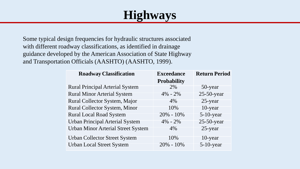## **Highways**

Some typical design frequencies for hydraulic structures associated with different roadway classifications, as identified in drainage guidance developed by the American Association of State Highway and Transportation Officials (AASHTO) (AASHTO, 1999).

| <b>Roadway Classification</b>             | <b>Exceedance</b><br><b>Probability</b> | <b>Return Period</b> |
|-------------------------------------------|-----------------------------------------|----------------------|
| <b>Rural Principal Arterial System</b>    | 2%                                      | 50-year              |
| <b>Rural Minor Arterial System</b>        | $4\% - 2\%$                             | $25-50$ -year        |
| Rural Collector System, Major             | 4%                                      | 25-year              |
| <b>Rural Collector System, Minor</b>      | 10%                                     | 10-year              |
| <b>Rural Local Road System</b>            | $20\% - 10\%$                           | $5-10$ -year         |
| <b>Urban Principal Arterial System</b>    | $4\% - 2\%$                             | $25-50$ -year        |
| <b>Urban Minor Arterial Street System</b> | 4%                                      | 25-year              |
| <b>Urban Collector Street System</b>      | 10%                                     | $10$ -year           |
| <b>Urban Local Street System</b>          | $20\% - 10\%$                           | $5-10$ -year         |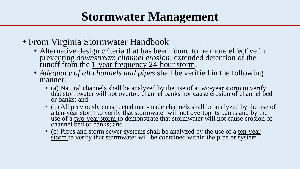## **Stormwater Management**

- From Virginia Stormwater Handbook
	- Alternative design criteria that has been found to be more effective in preventing *downstream channel erosion*: extended detention of the runoff from the 1-year frequency 24-hour storm.
	- *Adequacy of all channels and pipes* shall be verified in the following manner:
		- (a) Natural channels shall be analyzed by the use of a two-year storm to verify that stormwater will not overtop channel banks nor cause erosion of channel bed or banks; and
		- (b) All previously constructed man-made channels shall be analyzed by the use of  $\alpha$  ien-year storm to verify that stormwater will not overtop its banks and by the use of a two-year storm to demonstrate that stormwater will not cause erosion of channel bed or banks; and
		- (c) Pipes and storm sewer systems shall be analyzed by the use of a ten-year  $\frac{\dot{r}}{\dot{s}$  storm to verify that stormwater will be contained within the pipe or system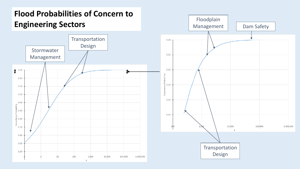#### **Flood Probabilities of Concern to Engineering Sectors**



Floodplain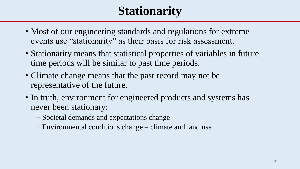## **Stationarity**

- Most of our engineering standards and regulations for extreme events use "stationarity" as their basis for risk assessment.
- Stationarity means that statistical properties of variables in future time periods will be similar to past time periods.
- Climate change means that the past record may not be representative of the future.
- In truth, environment for engineered products and systems has never been stationary:
	- − Societal demands and expectations change
	- − Environmental conditions change climate and land use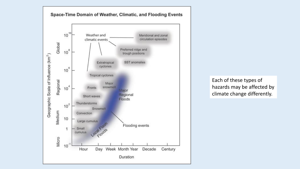

Each of these types of hazards may be affected by climate change differently.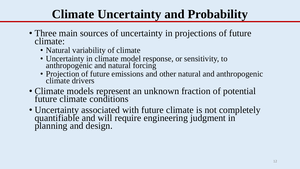### **Climate Uncertainty and Probability**

- Three main sources of uncertainty in projections of future climate:
	- Natural variability of climate
	- Uncertainty in climate model response, or sensitivity, to anthropogenic and natural forcing
	- Projection of future emissions and other natural and anthropogenic climate drivers
- Climate models represent an unknown fraction of potential future climate conditions
- Uncertainty associated with future climate is not completely quantifiable and will require engineering judgment in planning and design.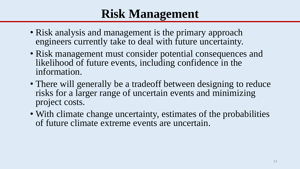### **Risk Management**

- Risk analysis and management is the primary approach engineers currently take to deal with future uncertainty.
- Risk management must consider potential consequences and likelihood of future events, including confidence in the information.
- There will generally be a tradeoff between designing to reduce risks for a larger range of uncertain events and minimizing project costs.
- With climate change uncertainty, estimates of the probabilities of future climate extreme events are uncertain.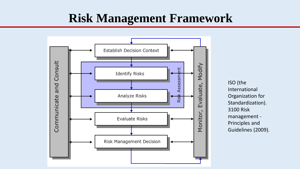### **Risk Management Framework**



ISO (the International Organization for Standardization). 3100 Risk management - Principles and Guidelines (2009).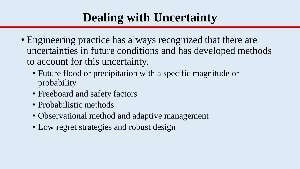### **Dealing with Uncertainty**

- Engineering practice has always recognized that there are uncertainties in future conditions and has developed methods to account for this uncertainty.
	- Future flood or precipitation with a specific magnitude or probability
	- Freeboard and safety factors
	- Probabilistic methods
	- Observational method and adaptive management
	- Low regret strategies and robust design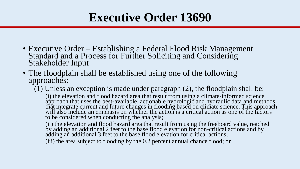### **Executive Order 13690**

- Executive Order Establishing a Federal Flood Risk Management Standard and a Process for Further Soliciting and Considering Stakeholder Input
- The floodplain shall be established using one of the following approaches:

(1) Unless an exception is made under paragraph (2), the floodplain shall be:

(i) the elevation and flood hazard area that result from using a climate-informed science approach that uses the best-available, actionable hydrologic and hydraulic data and methods that integrate current and future changes in flooding based on climate science. This approach will also include an emphasis on whether the action is a critical action as one of the factors to be considered when conducting the analysis;

(ii) the elevation and flood hazard area that result from using the freeboard value, reached by adding an additional 2 feet to the base flood elevation for non-critical actions and by adding an additional 3 feet to the base flood elevation for critical actions;

(iii) the area subject to flooding by the 0.2 percent annual chance flood; or